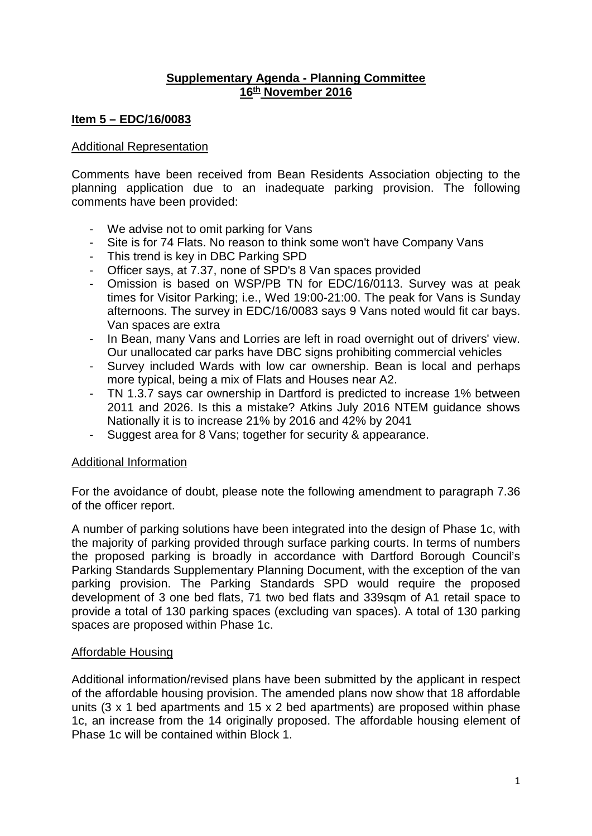# **Supplementary Agenda - Planning Committee 16th November 2016**

# **Item 5 – EDC/16/0083**

### Additional Representation

Comments have been received from Bean Residents Association objecting to the planning application due to an inadequate parking provision. The following comments have been provided:

- We advise not to omit parking for Vans
- Site is for 74 Flats. No reason to think some won't have Company Vans
- This trend is key in DBC Parking SPD
- Officer says, at 7.37, none of SPD's 8 Van spaces provided
- Omission is based on WSP/PB TN for EDC/16/0113. Survey was at peak times for Visitor Parking; i.e., Wed 19:00-21:00. The peak for Vans is Sunday afternoons. The survey in EDC/16/0083 says 9 Vans noted would fit car bays. Van spaces are extra
- In Bean, many Vans and Lorries are left in road overnight out of drivers' view. Our unallocated car parks have DBC signs prohibiting commercial vehicles
- Survey included Wards with low car ownership. Bean is local and perhaps more typical, being a mix of Flats and Houses near A2.
- TN 1.3.7 says car ownership in Dartford is predicted to increase 1% between 2011 and 2026. Is this a mistake? Atkins July 2016 NTEM guidance shows Nationally it is to increase 21% by 2016 and 42% by 2041
- Suggest area for 8 Vans; together for security & appearance.

## Additional Information

For the avoidance of doubt, please note the following amendment to paragraph 7.36 of the officer report.

A number of parking solutions have been integrated into the design of Phase 1c, with the majority of parking provided through surface parking courts. In terms of numbers the proposed parking is broadly in accordance with Dartford Borough Council's Parking Standards Supplementary Planning Document, with the exception of the van parking provision. The Parking Standards SPD would require the proposed development of 3 one bed flats, 71 two bed flats and 339sqm of A1 retail space to provide a total of 130 parking spaces (excluding van spaces). A total of 130 parking spaces are proposed within Phase 1c.

## Affordable Housing

Additional information/revised plans have been submitted by the applicant in respect of the affordable housing provision. The amended plans now show that 18 affordable units (3 x 1 bed apartments and 15 x 2 bed apartments) are proposed within phase 1c, an increase from the 14 originally proposed. The affordable housing element of Phase 1c will be contained within Block 1.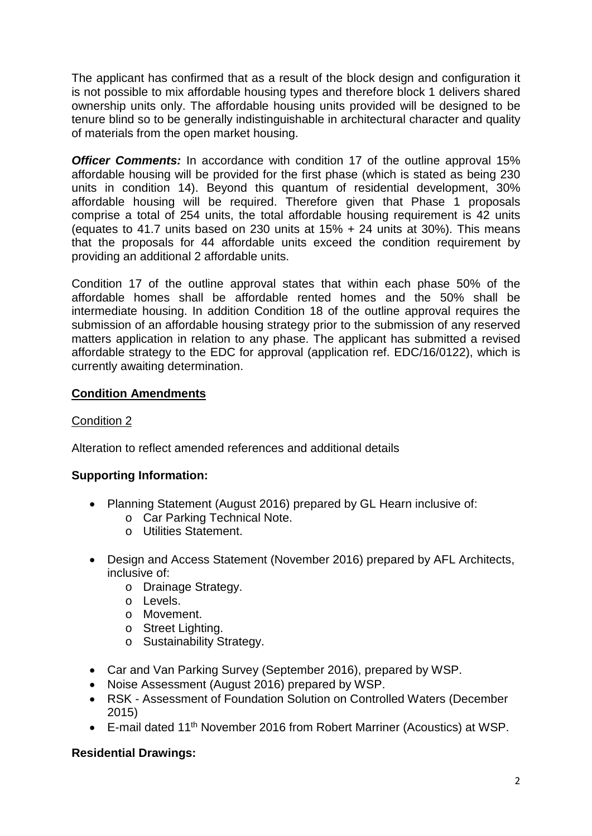The applicant has confirmed that as a result of the block design and configuration it is not possible to mix affordable housing types and therefore block 1 delivers shared ownership units only. The affordable housing units provided will be designed to be tenure blind so to be generally indistinguishable in architectural character and quality of materials from the open market housing.

**Officer Comments:** In accordance with condition 17 of the outline approval 15% affordable housing will be provided for the first phase (which is stated as being 230 units in condition 14). Beyond this quantum of residential development, 30% affordable housing will be required. Therefore given that Phase 1 proposals comprise a total of 254 units, the total affordable housing requirement is 42 units (equates to 41.7 units based on 230 units at 15% + 24 units at 30%). This means that the proposals for 44 affordable units exceed the condition requirement by providing an additional 2 affordable units.

Condition 17 of the outline approval states that within each phase 50% of the affordable homes shall be affordable rented homes and the 50% shall be intermediate housing. In addition Condition 18 of the outline approval requires the submission of an affordable housing strategy prior to the submission of any reserved matters application in relation to any phase. The applicant has submitted a revised affordable strategy to the EDC for approval (application ref. EDC/16/0122), which is currently awaiting determination.

# **Condition Amendments**

# Condition 2

Alteration to reflect amended references and additional details

# **Supporting Information:**

- Planning Statement (August 2016) prepared by GL Hearn inclusive of:
	- o Car Parking Technical Note.
	- o Utilities Statement.
- Design and Access Statement (November 2016) prepared by AFL Architects, inclusive of:
	- o Drainage Strategy.
	- o Levels.
	- o Movement.
	- o Street Lighting.
	- o Sustainability Strategy.
- Car and Van Parking Survey (September 2016), prepared by WSP.
- Noise Assessment (August 2016) prepared by WSP.
- RSK Assessment of Foundation Solution on Controlled Waters (December 2015)
- E-mail dated 11<sup>th</sup> November 2016 from Robert Marriner (Acoustics) at WSP.

## **Residential Drawings:**